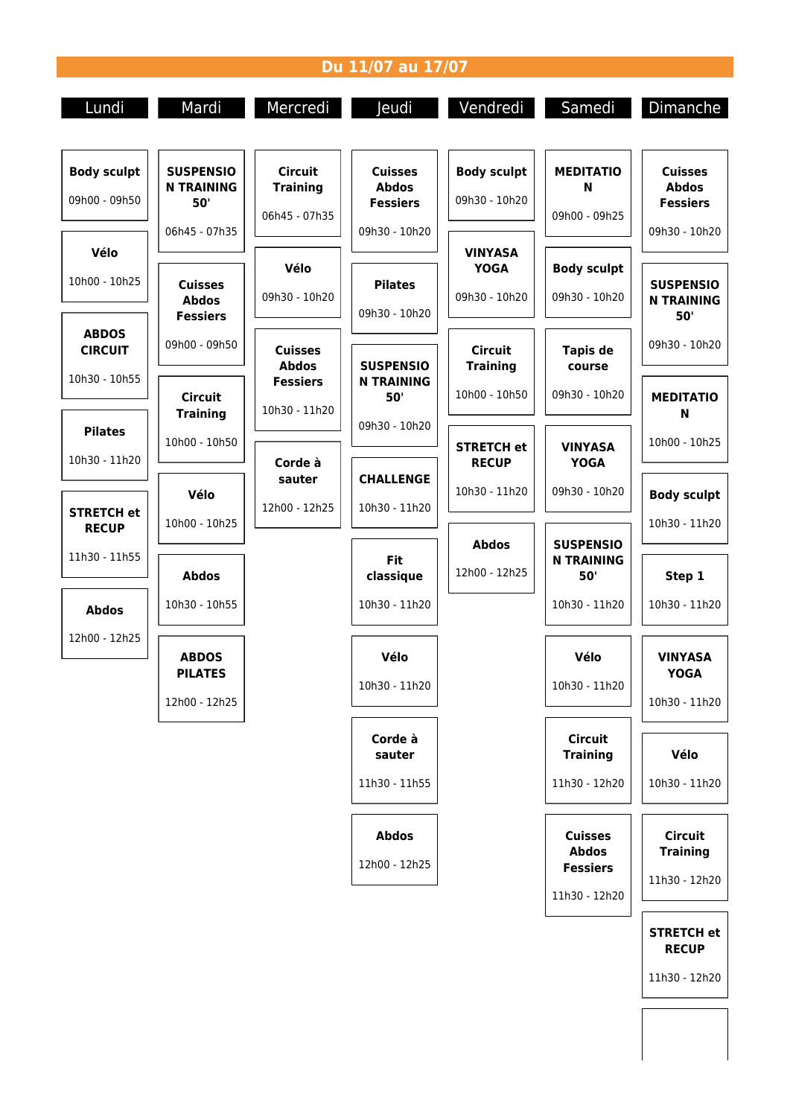## **Du 11/07 au 17/07**

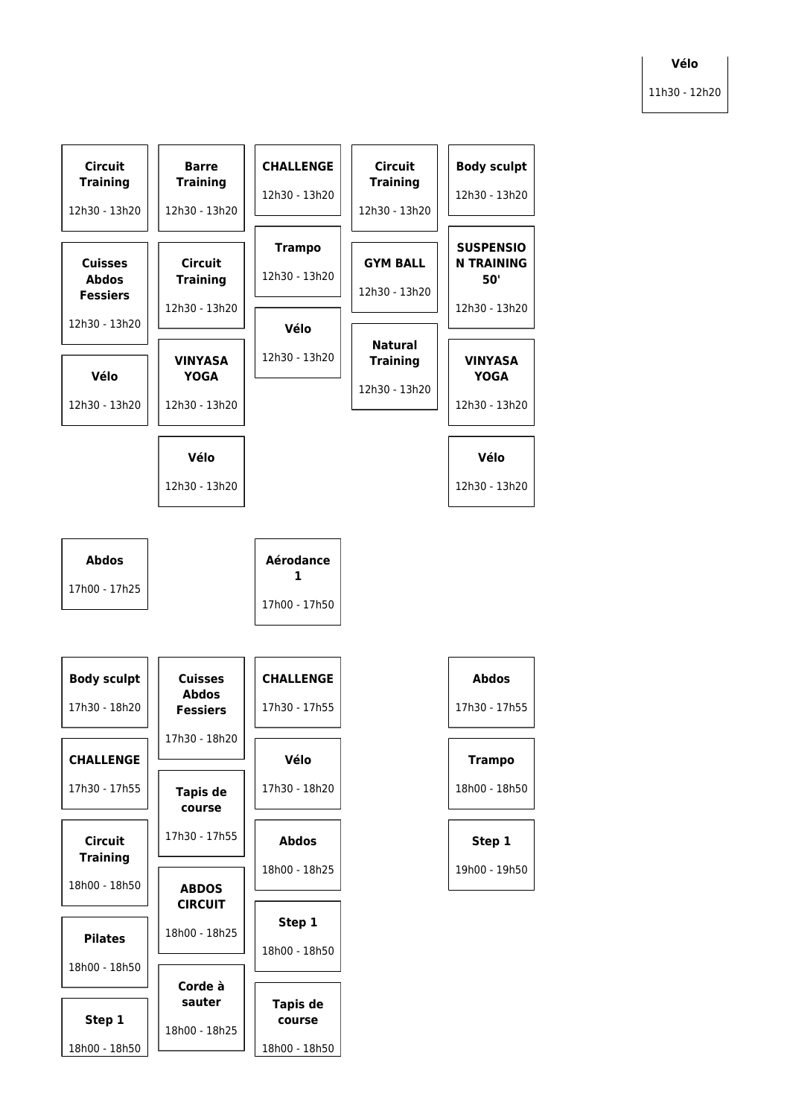## **Vélo** 11h30 - 12h20